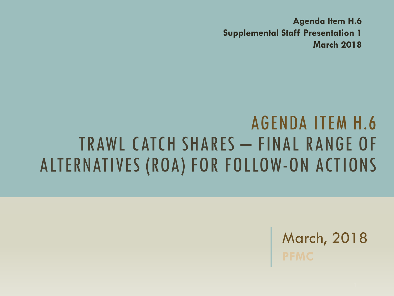**Agenda Item H.6 Supplemental Staff Presentation 1 March 2018** 

#### AGENDA ITEM H.6 TRAWL CATCH SHARES – FINAL RANGE OF ALTERNATIVES (ROA) FOR FOLLOW-ON ACTIONS

March, 2018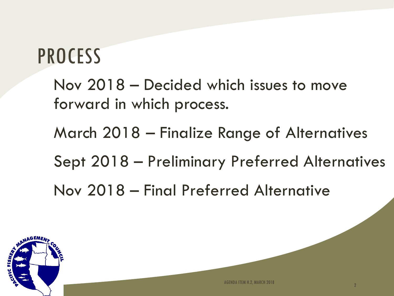### PROCESS

Nov 2018 – Decided which issues to move forward in which process.

March 2018 – Finalize Range of Alternatives

Sept 2018 – Preliminary Preferred Alternatives

Nov 2018 – Final Preferred Alternative

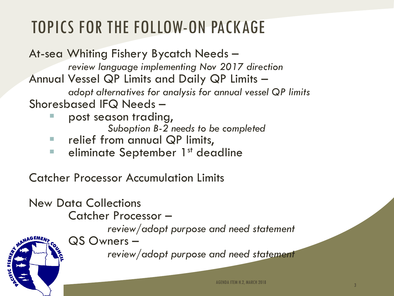#### TOPICS FOR THE FOLLOW-ON PACKAGE

At-sea Whiting Fishery Bycatch Needs – *review language implementing Nov 2017 direction* Annual Vessel QP Limits and Daily QP Limits – *adopt alternatives for analysis for annual vessel QP limits* Shoresbased IFQ Needs – post season trading,

- *Suboption B-2 needs to be completed*
- relief from annual QP limits,
- **E** eliminate September 1st deadline

Catcher Processor Accumulation Limits

New Data Collections Catcher Processor – *review/adopt purpose and need statement* QS Owners – *review/adopt purpose and need statement*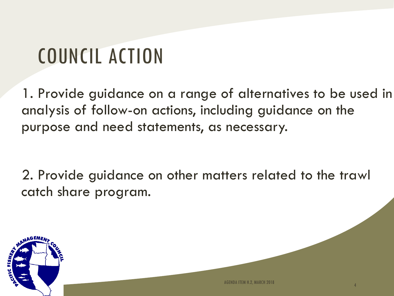# COUNCIL ACTION

1. Provide guidance on a range of alternatives to be used in analysis of follow-on actions, including guidance on the purpose and need statements, as necessary.

2. Provide guidance on other matters related to the trawl catch share program.

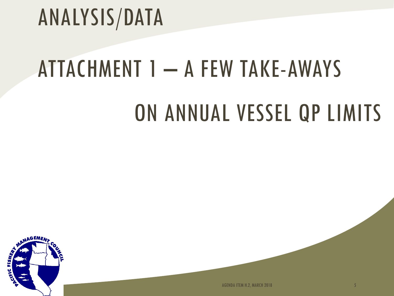# ANALYSIS/DATA

# ATTACHMENT 1 – A FEW TAKE-AWAYS

## ON ANNUAL VESSEL QP LIMITS



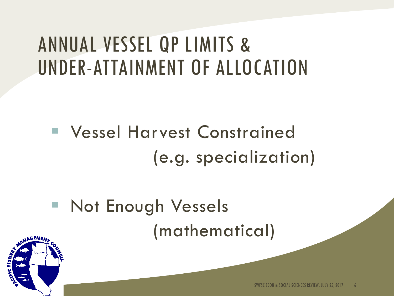### ANNUAL VESSEL QP LIMITS & UNDER-ATTAINMENT OF ALLOCATION

 Vessel Harvest Constrained (e.g. specialization)

**Not Enough Vessels** (mathematical)

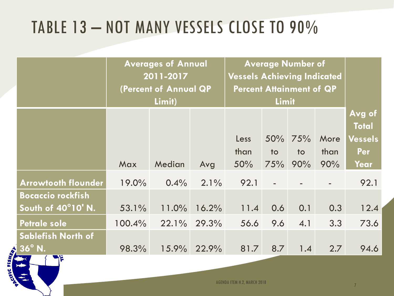#### TABLE 13 – NOT MANY VESSELS CLOSE TO 90%

|                |                                                | <b>Averages of Annual</b><br>2011-2017<br>(Percent of Annual QP<br>Limit) |         |       | <b>Average Number of</b><br><b>Vessels Achieving Indicated</b><br><b>Percent Attainment of QP</b><br><b>Limit</b> |                           |           |              |                                |
|----------------|------------------------------------------------|---------------------------------------------------------------------------|---------|-------|-------------------------------------------------------------------------------------------------------------------|---------------------------|-----------|--------------|--------------------------------|
|                |                                                |                                                                           |         |       |                                                                                                                   |                           |           |              | Avg of                         |
|                |                                                |                                                                           |         |       | Less<br>than                                                                                                      | $50\%$<br>10 <sub>o</sub> | 75%<br>to | More<br>than | <b>Total</b><br>Vessels<br>Per |
|                |                                                | Max                                                                       | Median  | Avg   | 50%                                                                                                               | 75%                       | 90%       | 90%          | Year                           |
|                | <b>Arrowtooth flounder</b>                     | 19.0%                                                                     | $0.4\%$ | 2.1%  | 92.1                                                                                                              |                           |           |              | 92.1                           |
|                | <b>Bocaccio rockfish</b><br>South of 40°10' N. | 53.1%                                                                     | 11.0%   | 16.2% | 11.4                                                                                                              | 0.6                       | 0.1       | 0.3          | 12.4                           |
|                | <b>Petrale sole</b>                            | 100.4%                                                                    | 22.1%   | 29.3% | 56.6                                                                                                              | 9.6                       | 4.1       | 3.3          | 73.6                           |
|                | <b>Sablefish North of</b><br>$36^\circ$ N.     | 98.3%                                                                     | 15.9%   | 22.9% | 81.7                                                                                                              | 8.7                       | 1.4       | 2.7          | 94.6                           |
| CITIC FISHERAL |                                                |                                                                           |         |       |                                                                                                                   |                           |           |              |                                |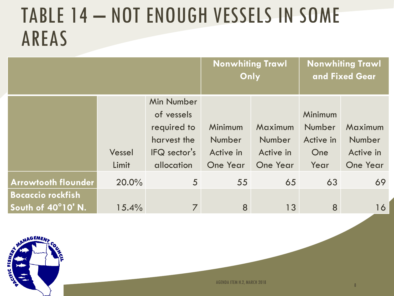#### TABLE 14 – NOT ENOUGH VESSELS IN SOME AREAS

|                                                |                 |                                                                                      | <b>Nonwhiting Trawl</b>                           | Only                                       | <b>Nonwhiting Trawl</b><br>and Fixed Gear                   |                                                   |  |
|------------------------------------------------|-----------------|--------------------------------------------------------------------------------------|---------------------------------------------------|--------------------------------------------|-------------------------------------------------------------|---------------------------------------------------|--|
|                                                | Vessel<br>Limit | Min Number<br>of vessels<br>required to<br>harvest the<br>IFQ sector's<br>allocation | Minimum<br>Number<br>Active in<br><b>One Year</b> | Maximum<br>Number<br>Active in<br>One Year | <b>Minimum</b><br>Number<br>Active in<br><b>One</b><br>Year | Maximum<br>Number<br>Active in<br><b>One Year</b> |  |
| <b>Arrowtooth flounder</b>                     | 20.0%           | $5\overline{)}$                                                                      | 55                                                | 65                                         | 63                                                          | 69                                                |  |
| <b>Bocaccio rockfish</b><br>South of 40°10' N. | 15.4%           | 7                                                                                    | 8                                                 | 13                                         | 8                                                           | 16                                                |  |

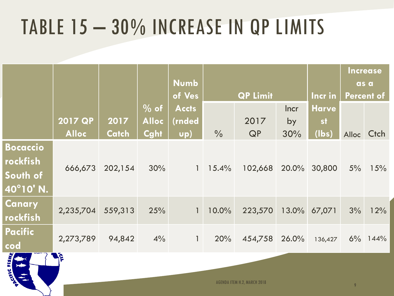## TABLE 15 – 30% INCREASE IN QP LIMITS

|                         |                |              |                   | <b>Numb</b>  |                  |         |             |              |                           | <b>Increase</b> |
|-------------------------|----------------|--------------|-------------------|--------------|------------------|---------|-------------|--------------|---------------------------|-----------------|
|                         |                |              |                   | of Ves       | <b>QP Limit</b>  |         |             | Incr in      | as a<br><b>Percent of</b> |                 |
|                         |                |              | $\frac{10}{6}$ of | <b>Accts</b> |                  |         | <b>Incr</b> | <b>Harve</b> |                           |                 |
|                         | <b>2017 QP</b> | 2017         | <b>Alloc</b>      | (rnded       |                  | 2017    | by          | <b>st</b>    |                           |                 |
|                         | <b>Alloc</b>   | <b>Catch</b> | Cght              | $\n  up\n$   | $\frac{0}{0}$    | QP      | 30%         | (lbs)        |                           | Alloc Ctch      |
| <b>Bocaccio</b>         |                |              |                   |              |                  |         |             |              |                           |                 |
| <b>rockfish</b>         | 666,673        | 202,154      | 30%               |              | $1 \quad 15.4\%$ | 102,668 | 20.0%       | 30,800       | 5%                        | 15%             |
| South of                |                |              |                   |              |                  |         |             |              |                           |                 |
| 40°10' N.               |                |              |                   |              |                  |         |             |              |                           |                 |
| <b>Canary</b>           | 2,235,704      | 559,313      | 25%               | $\mathbf{1}$ | 10.0%            | 223,570 |             | 13.0% 67,071 | 3%                        | 12%             |
| rockfish                |                |              |                   |              |                  |         |             |              |                           |                 |
| <b>Pacific</b>          | 2,273,789      | 94,842       | 4%                | $\mathbf{1}$ | 20%              |         |             |              |                           |                 |
| $\overline{\text{cod}}$ |                |              |                   |              |                  | 454,758 | 26.0%       | 136,427      |                           | $6\%$ 144%      |
| <b>SAMPLE</b>           | <b>A</b> S     |              |                   |              |                  |         |             |              |                           |                 |



AGENDA ITEM H.2, MARCH 2018 <sup>9</sup>